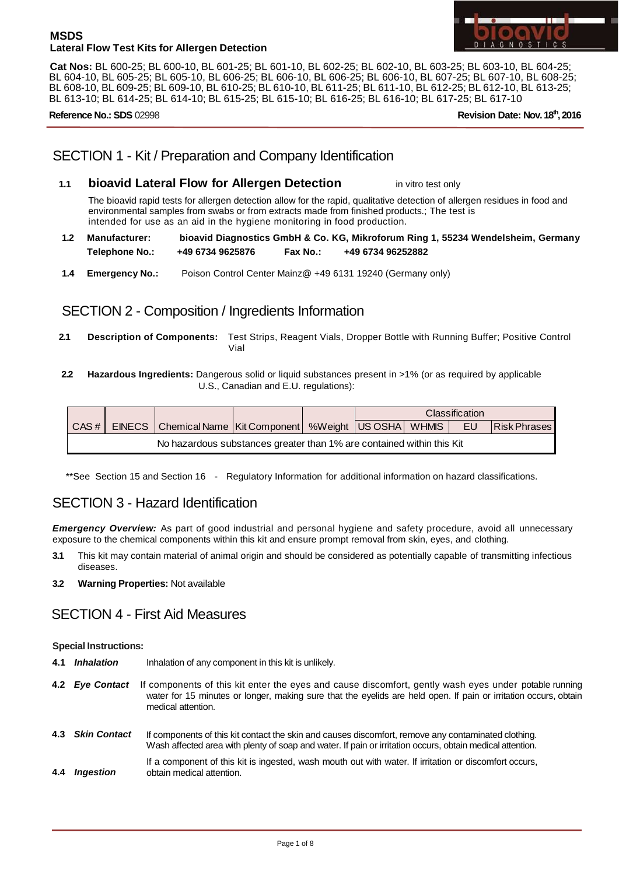

**Cat Nos:** BL 600-25; BL 600-10, BL 601-25; BL 601-10, BL 602-25; BL 602-10, BL 603-25; BL 603-10, BL 604-25; BL 604-10, BL 605-25; BL 605-10, BL 606-25; BL 606-10, BL 606-25; BL 606-10, BL 607-25; BL 607-10, BL 608-25; BL 608-10, BL 609-25; BL 609-10, BL 610-25; BL 610-10, BL 611-25; BL 611-10, BL 612-25; BL 612-10, BL 613-25; BL 613-10; BL 614-25; BL 614-10; BL 615-25; BL 615-10; BL 616-25; BL 616-10; BL 617-25; BL 617-10

**Reference No.: SDS** 02998 **Revision Date: Nov. 18th, 2016**

# SECTION 1 - Kit / Preparation and Company Identification

**1.1 bioavid Lateral Flow for Allergen Detection** in vitro test only

The bioavid rapid tests for allergen detection allow for the rapid, qualitative detection of allergen residues in food and environmental samples from swabs or from extracts made from finished products.; The test is intended for use as an aid in the hygiene monitoring in food production.

- **1.2 Manufacturer: bioavid Diagnostics GmbH & Co. KG, Mikroforum Ring 1, 55234 Wendelsheim, Germany Telephone No.: +49 6734 9625876 Fax No.: +49 6734 96252882**
- **1.4 Emergency No.:** Poison Control Center Mainz@ +49 6131 19240 (Germany only)

# SECTION 2 - Composition / Ingredients Information

- **2.1 Description of Components:** Test Strips, Reagent Vials, Dropper Bottle with Running Buffer; Positive Control Vial
- **2.2 Hazardous Ingredients:** Dangerous solid or liquid substances present in >1% (or as required by applicable U.S., Canadian and E.U. regulations):

|                                                                       |  |                                                                    |  |  | <b>Classification</b> |  |    |                      |
|-----------------------------------------------------------------------|--|--------------------------------------------------------------------|--|--|-----------------------|--|----|----------------------|
| CAS#                                                                  |  | EINECS   Chemical Name   Kit Component   %Weight   US OSHA   WHMIS |  |  |                       |  | EU | <b>IRisk Phrases</b> |
| No hazardous substances greater than 1% are contained within this Kit |  |                                                                    |  |  |                       |  |    |                      |

\*\*See Section 15 and Section 16 - Regulatory Information for additional information on hazard classifications.

# SECTION 3 - Hazard Identification

*Emergency Overview:* As part of good industrial and personal hygiene and safety procedure, avoid all unnecessary exposure to the chemical components within this kit and ensure prompt removal from skin, eyes, and clothing.

- **3.1** This kit may contain material of animal origin and should be considered as potentially capable of transmitting infectious diseases.
- **3.2 Warning Properties:** Not available

# SECTION 4 - First Aid Measures

#### **Special Instructions:**

| 4.1 | <i><b>Inhalation</b></i> | Inhalation of any component in this kit is unlikely.                                                                                                                                                                                            |
|-----|--------------------------|-------------------------------------------------------------------------------------------------------------------------------------------------------------------------------------------------------------------------------------------------|
|     | 4.2 Eye Contact          | If components of this kit enter the eyes and cause discomfort, gently wash eyes under potable running<br>water for 15 minutes or longer, making sure that the eyelids are held open. If pain or irritation occurs, obtain<br>medical attention. |
| 4.3 | <b>Skin Contact</b>      | If components of this kit contact the skin and causes discomfort, remove any contaminated clothing.<br>Wash affected area with plenty of soap and water. If pain or irritation occurs, obtain medical attention.                                |
| 4.4 | Inaestion                | If a component of this kit is ingested, wash mouth out with water. If irritation or discomfort occurs,<br>obtain medical attention.                                                                                                             |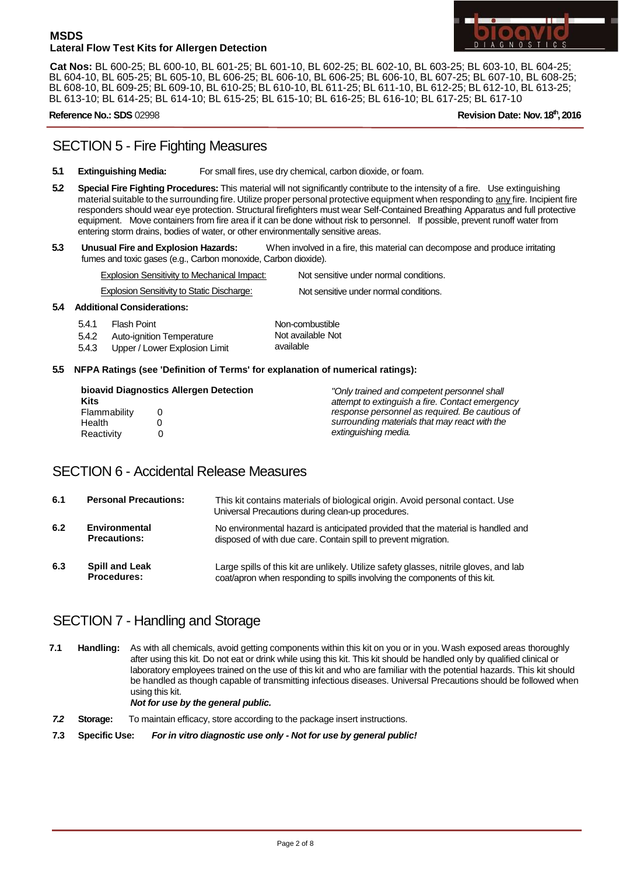

**Cat Nos:** BL 600-25; BL 600-10, BL 601-25; BL 601-10, BL 602-25; BL 602-10, BL 603-25; BL 603-10, BL 604-25; BL 604-10, BL 605-25; BL 605-10, BL 606-25; BL 606-10, BL 606-25; BL 606-10, BL 607-25; BL 607-10, BL 608-25; BL 608-10, BL 609-25; BL 609-10, BL 610-25; BL 610-10, BL 611-25; BL 611-10, BL 612-25; BL 612-10, BL 613-25; BL 613-10; BL 614-25; BL 614-10; BL 615-25; BL 615-10; BL 616-25; BL 616-10; BL 617-25; BL 617-10

**Reference No.: SDS** 02998 **Revision Date: Nov. 18th, 2016**

# SECTION 5 - Fire Fighting Measures

- **5.1 Extinguishing Media:** For small fires, use dry chemical, carbon dioxide, or foam.
- **5.2 Special Fire Fighting Procedures:** This material will not significantly contribute to the intensity of a fire. Use extinguishing material suitable to the surrounding fire. Utilize proper personal protective equipment when responding to any fire. Incipient fire responders should wear eye protection. Structural firefighters must wear Self-Contained Breathing Apparatus and full protective equipment. Move containers from fire area if it can be done without risk to personnel. If possible, prevent runoff water from entering storm drains, bodies of water, or other environmentally sensitive areas.
- **5.3 Unusual Fire and Explosion Hazards:** When involved in a fire, this material can decompose and produce irritating fumes and toxic gases (e.g., Carbon monoxide, Carbon dioxide).

Explosion Sensitivity to Mechanical Impact: Not sensitive under normal conditions.

Not sensitive under normal conditions.

Explosion Sensitivity to Static Discharge:

**5.4 Additional Considerations:**

| 5.4.1 | <b>Flash Point</b>            | Non-combustible   |
|-------|-------------------------------|-------------------|
| 5.4.2 | Auto-ignition Temperature     | Not available Not |
| 5.4.3 | Upper / Lower Explosion Limit | available         |

### **5.5 NFPA Ratings (see 'Definition of Terms' for explanation of numerical ratings):**

| bioavid Diagnostics Allergen Detection |  | "Only trained and competent personnel shall     |
|----------------------------------------|--|-------------------------------------------------|
| Kits                                   |  | attempt to extinguish a fire. Contact emergency |
| Flammability                           |  | response personnel as required. Be cautious of  |
| Health                                 |  | surrounding materials that may react with the   |
| Reactivity                             |  | extinguishing media.                            |

# SECTION 6 - Accidental Release Measures

| 6.1 | <b>Personal Precautions:</b>                | This kit contains materials of biological origin. Avoid personal contact. Use<br>Universal Precautions during clean-up procedures.                                   |
|-----|---------------------------------------------|----------------------------------------------------------------------------------------------------------------------------------------------------------------------|
| 6.2 | Environmental<br><b>Precautions:</b>        | No environmental hazard is anticipated provided that the material is handled and<br>disposed of with due care. Contain spill to prevent migration.                   |
| 6.3 | <b>Spill and Leak</b><br><b>Procedures:</b> | Large spills of this kit are unlikely. Utilize safety glasses, nitrile gloves, and lab<br>coat/apron when responding to spills involving the components of this kit. |

# SECTION 7 - Handling and Storage

- **7.1 Handling:** As with all chemicals, avoid getting components within this kit on you or in you. Wash exposed areas thoroughly after using this kit. Do not eat or drink while using this kit. This kit should be handled only by qualified clinical or laboratory employees trained on the use of this kit and who are familiar with the potential hazards. This kit should be handled as though capable of transmitting infectious diseases. Universal Precautions should be followed when using this kit. *Not for use by the general public.*
- *7.2* **Storage:** To maintain efficacy, store according to the package insert instructions.
- **7.3 Specific Use:** *For in vitro diagnostic use only - Not for use by general public!*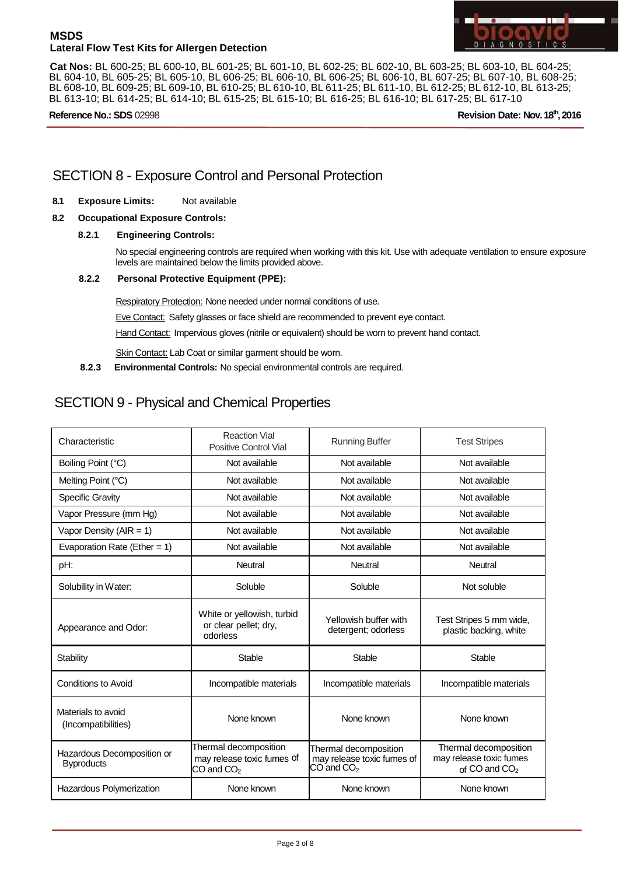

**Cat Nos:** BL 600-25; BL 600-10, BL 601-25; BL 601-10, BL 602-25; BL 602-10, BL 603-25; BL 603-10, BL 604-25; BL 604-10, BL 605-25; BL 605-10, BL 606-25; BL 606-10, BL 606-25; BL 606-10, BL 607-25; BL 607-10, BL 608-25; BL 608-10, BL 609-25; BL 609-10, BL 610-25; BL 610-10, BL 611-25; BL 611-10, BL 612-25; BL 612-10, BL 613-25; BL 613-10; BL 614-25; BL 614-10; BL 615-25; BL 615-10; BL 616-25; BL 616-10; BL 617-25; BL 617-10

**Reference No.: SDS** 02998 **Revision Date: Nov. 18th, 2016**

# SECTION 8 - Exposure Control and Personal Protection

**8.1 Exposure Limits:** Not available

### **8.2 Occupational Exposure Controls:**

**8.2.1 Engineering Controls:**

No special engineering controls are required when working with this kit. Use with adequate ventilation to ensure exposure levels are maintained below the limits provided above.

### **8.2.2 Personal Protective Equipment (PPE):**

Respiratory Protection: None needed under normal conditions of use.

Eve Contact: Safety glasses or face shield are recommended to prevent eye contact.

Hand Contact: Impervious gloves (nitrile or equivalent) should be worn to prevent hand contact.

Skin Contact: Lab Coat or similar garment should be worn.

**8.2.3 Environmental Controls:** No special environmental controls are required.

# SECTION 9 - Physical and Chemical Properties

| Characteristic                                  | <b>Reaction Vial</b><br>Positive Control Vial                         | <b>Running Buffer</b>                                                 | <b>Test Stripes</b>                                                 |
|-------------------------------------------------|-----------------------------------------------------------------------|-----------------------------------------------------------------------|---------------------------------------------------------------------|
| Boiling Point (°C)                              | Not available                                                         | Not available                                                         | Not available                                                       |
| Melting Point (°C)                              | Not available                                                         | Not available                                                         | Not available                                                       |
| <b>Specific Gravity</b>                         | Not available                                                         | Not available                                                         | Not available                                                       |
| Vapor Pressure (mm Hg)                          | Not available                                                         | Not available                                                         | Not available                                                       |
| Vapor Density ( $AIR = 1$ )                     | Not available                                                         | Not available                                                         | Not available                                                       |
| Evaporation Rate (Ether = 1)                    | Not available                                                         | Not available                                                         | Not available                                                       |
| pH:                                             | Neutral                                                               | Neutral                                                               | Neutral                                                             |
| Solubility in Water:                            | Soluble                                                               | Soluble                                                               | Not soluble                                                         |
| Appearance and Odor:                            | White or yellowish, turbid<br>or clear pellet; dry,<br>odorless       | Yellowish buffer with<br>detergent; odorless                          | Test Stripes 5 mm wide,<br>plastic backing, white                   |
| Stability                                       | Stable                                                                | Stable                                                                | Stable                                                              |
| Conditions to Avoid                             | Incompatible materials                                                | Incompatible materials                                                | Incompatible materials                                              |
| Materials to avoid<br>(Incompatibilities)       | None known                                                            | None known                                                            | None known                                                          |
| Hazardous Decomposition or<br><b>Byproducts</b> | Thermal decomposition<br>may release toxic fumes of<br>$CO$ and $CO2$ | Thermal decomposition<br>may release toxic fumes of<br>$CO$ and $CO2$ | Thermal decomposition<br>may release toxic fumes<br>of CO and $CO2$ |
| Hazardous Polymerization                        | None known                                                            | None known                                                            | None known                                                          |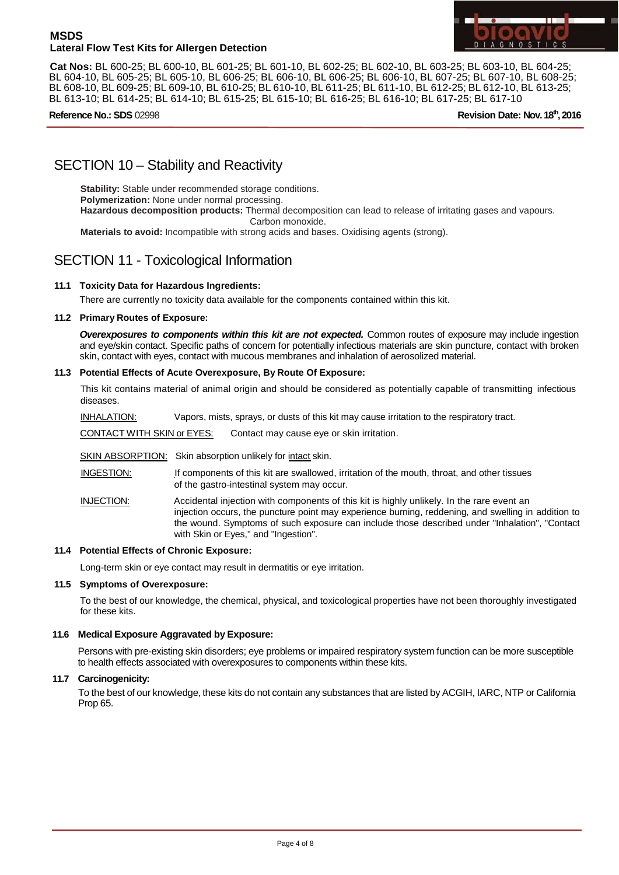

**Cat Nos:** BL 600-25; BL 600-10, BL 601-25; BL 601-10, BL 602-25; BL 602-10, BL 603-25; BL 603-10, BL 604-25; BL 604-10, BL 605-25; BL 605-10, BL 606-25; BL 606-10, BL 606-25; BL 606-10, BL 607-25; BL 607-10, BL 608-25; BL 608-10, BL 609-25; BL 609-10, BL 610-25; BL 610-10, BL 611-25; BL 611-10, BL 612-25; BL 612-10, BL 613-25; BL 613-10; BL 614-25; BL 614-10; BL 615-25; BL 615-10; BL 616-25; BL 616-10; BL 617-25; BL 617-10

**Reference No.: SDS** 02998 **Revision Date: Nov. 18th, 2016**

# SECTION 10 – Stability and Reactivity

**Stability:** Stable under recommended storage conditions. **Polymerization:** None under normal processing. **Hazardous decomposition products:** Thermal decomposition can lead to release of irritating gases and vapours. Carbon monoxide. **Materials to avoid:** Incompatible with strong acids and bases. Oxidising agents (strong).

# SECTION 11 - Toxicological Information

### **11.1 Toxicity Data for Hazardous Ingredients:**

There are currently no toxicity data available for the components contained within this kit.

#### **11.2 Primary Routes of Exposure:**

*Overexposures to components within this kit are not expected.* Common routes of exposure may include ingestion and eye/skin contact. Specific paths of concern for potentially infectious materials are skin puncture, contact with broken skin, contact with eyes, contact with mucous membranes and inhalation of aerosolized material.

### **11.3 Potential Effects of Acute Overexposure, By Route Of Exposure:**

This kit contains material of animal origin and should be considered as potentially capable of transmitting infectious diseases.

INHALATION: Vapors, mists, sprays, or dusts of this kit may cause irritation to the respiratory tract.

CONTACT WITH SKIN or EYES: Contact may cause eye or skin irritation.

SKIN ABSORPTION: Skin absorption unlikely for intact skin.

INGESTION: If components of this kit are swallowed, irritation of the mouth, throat, and other tissues of the gastro-intestinal system may occur.

INJECTION: Accidental injection with components of this kit is highly unlikely. In the rare event an injection occurs, the puncture point may experience burning, reddening, and swelling in addition to the wound. Symptoms of such exposure can include those described under "Inhalation", "Contact with Skin or Eyes," and "Ingestion".

### **11.4 Potential Effects of Chronic Exposure:**

Long-term skin or eye contact may result in dermatitis or eye irritation.

### **11.5 Symptoms of Overexposure:**

To the best of our knowledge, the chemical, physical, and toxicological properties have not been thoroughly investigated for these kits.

#### **11.6 Medical Exposure Aggravated by Exposure:**

Persons with pre-existing skin disorders; eye problems or impaired respiratory system function can be more susceptible to health effects associated with overexposures to components within these kits.

### **11.7 Carcinogenicity:**

To the best of our knowledge, these kits do not contain any substances that are listed by ACGIH, IARC, NTP or California Prop 65.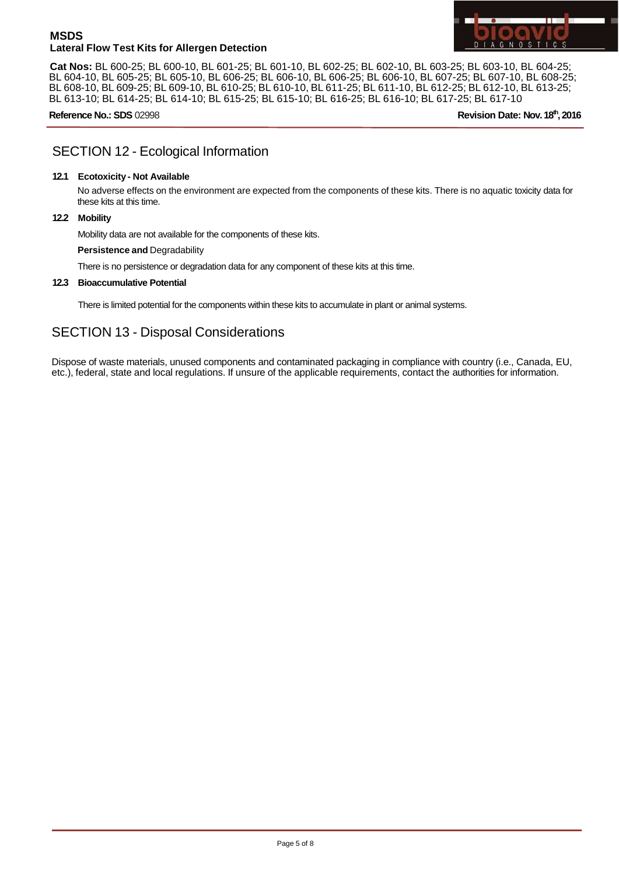

**Cat Nos:** BL 600-25; BL 600-10, BL 601-25; BL 601-10, BL 602-25; BL 602-10, BL 603-25; BL 603-10, BL 604-25; BL 604-10, BL 605-25; BL 605-10, BL 606-25; BL 606-10, BL 606-25; BL 606-10, BL 607-25; BL 607-10, BL 608-25; BL 608-10, BL 609-25; BL 609-10, BL 610-25; BL 610-10, BL 611-25; BL 611-10, BL 612-25; BL 612-10, BL 613-25; BL 613-10; BL 614-25; BL 614-10; BL 615-25; BL 615-10; BL 616-25; BL 616-10; BL 617-25; BL 617-10

**Reference No.: SDS** 02998 **Revision Date: Nov. 18th, 2016**

# SECTION 12 - Ecological Information

### **12.1 Ecotoxicity - Not Available**

No adverse effects on the environment are expected from the components of these kits. There is no aquatic toxicity data for these kits at this time.

#### **12.2 Mobility**

Mobility data are not available for the components of these kits.

**Persistence and** Degradability

There is no persistence or degradation data for any component of these kits at this time.

#### **12.3 Bioaccumulative Potential**

There is limited potential for the components within these kits to accumulate in plant or animal systems.

# SECTION 13 - Disposal Considerations

Dispose of waste materials, unused components and contaminated packaging in compliance with country (i.e., Canada, EU, etc.), federal, state and local regulations. If unsure of the applicable requirements, contact the authorities for information.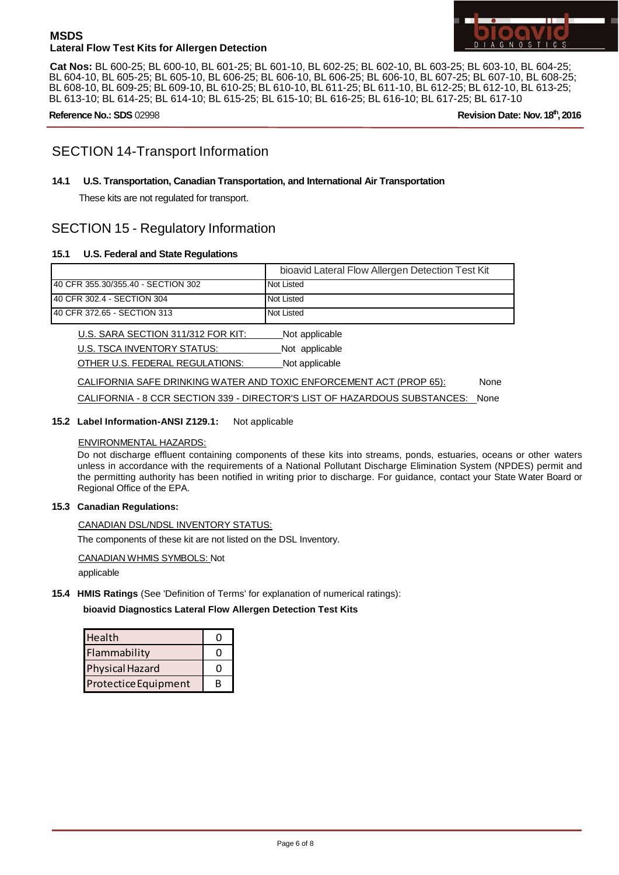

**Cat Nos:** BL 600-25; BL 600-10, BL 601-25; BL 601-10, BL 602-25; BL 602-10, BL 603-25; BL 603-10, BL 604-25; BL 604-10, BL 605-25; BL 605-10, BL 606-25; BL 606-10, BL 606-25; BL 606-10, BL 607-25; BL 607-10, BL 608-25; BL 608-10, BL 609-25; BL 609-10, BL 610-25; BL 610-10, BL 611-25; BL 611-10, BL 612-25; BL 612-10, BL 613-25; BL 613-10; BL 614-25; BL 614-10; BL 615-25; BL 615-10; BL 616-25; BL 616-10; BL 617-25; BL 617-10

**Reference No.: SDS** 02998 **Revision Date: Nov. 18th, 2016**

# SECTION 14-Transport Information

### **14.1 U.S. Transportation, Canadian Transportation, and International Air Transportation**

These kits are not regulated for transport.

# SECTION 15 - Regulatory Information

### **15.1 U.S. Federal and State Regulations**

|                                    | bioavid Lateral Flow Allergen Detection Test Kit |
|------------------------------------|--------------------------------------------------|
| 40 CFR 355.30/355.40 - SECTION 302 | Not Listed                                       |
| 40 CFR 302.4 - SECTION 304         | Not Listed                                       |
| 40 CFR 372.65 - SECTION 313        | Not Listed                                       |
| U.S. SARA SECTION 311/312 FOR KIT: | Not applicable                                   |

U.S. TSCA INVENTORY STATUS: Not applicable

OTHER U.S. FEDERAL REGULATIONS: Not applicable

CALIFORNIA SAFE DRINKING WATER AND TOXIC ENFORCEMENT ACT (PROP 65): None

CALIFORNIA - 8 CCR SECTION 339 - DIRECTOR'S LIST OF HAZARDOUS SUBSTANCES: None

### **15.2 Label Information-ANSI Z129.1:** Not applicable

### ENVIRONMENTAL HAZARDS:

Do not discharge effluent containing components of these kits into streams, ponds, estuaries, oceans or other waters unless in accordance with the requirements of a National Pollutant Discharge Elimination System (NPDES) permit and the permitting authority has been notified in writing prior to discharge. For guidance, contact your State Water Board or Regional Office of the EPA.

#### **15.3 Canadian Regulations:**

CANADIAN DSL/NDSL INVENTORY STATUS:

The components of these kit are not listed on the DSL Inventory.

CANADIAN WHMIS SYMBOLS: Not

applicable

**15.4 HMIS Ratings** (See 'Definition of Terms' for explanation of numerical ratings):

#### **bioavid Diagnostics Lateral Flow Allergen Detection Test Kits**

| Health                 |   |
|------------------------|---|
| Flammability           |   |
| <b>Physical Hazard</b> |   |
| Protectice Equipment   | R |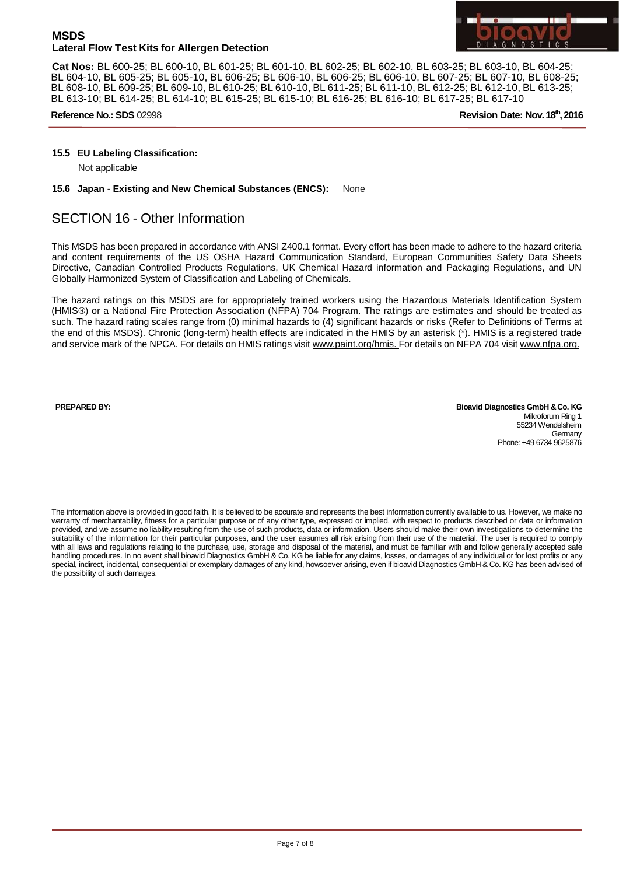

**Cat Nos:** BL 600-25; BL 600-10, BL 601-25; BL 601-10, BL 602-25; BL 602-10, BL 603-25; BL 603-10, BL 604-25; BL 604-10, BL 605-25; BL 605-10, BL 606-25; BL 606-10, BL 606-25; BL 606-10, BL 607-25; BL 607-10, BL 608-25; BL 608-10, BL 609-25; BL 609-10, BL 610-25; BL 610-10, BL 611-25; BL 611-10, BL 612-25; BL 612-10, BL 613-25; BL 613-10; BL 614-25; BL 614-10; BL 615-25; BL 615-10; BL 616-25; BL 616-10; BL 617-25; BL 617-10

**Reference No.: SDS** 02998 **Revision Date: Nov. 18th, 2016**

#### **15.5 EU Labeling Classification:**

Not applicable

#### **15.6 Japan - Existing and New Chemical Substances (ENCS):** None

## SECTION 16 - Other Information

This MSDS has been prepared in accordance with ANSI Z400.1 format. Every effort has been made to adhere to the hazard criteria and content requirements of the US OSHA Hazard Communication Standard, European Communities Safety Data Sheets Directive, Canadian Controlled Products Regulations, UK Chemical Hazard information and Packaging Regulations, and UN Globally Harmonized System of Classification and Labeling of Chemicals.

The hazard ratings on this MSDS are for appropriately trained workers using the Hazardous Materials Identification System (HMIS®) or a National Fire Protection Association (NFPA) 704 Program. The ratings are estimates and should be treated as such. The hazard rating scales range from (0) minimal hazards to (4) significant hazards or risks (Refer to Definitions of Terms at the end of this MSDS). Chronic (long-term) health effects are indicated in the HMIS by an asterisk (\*). HMIS is a registered trade and service mark of the NPCA. For details on HMIS ratings visit [www.paint.org/hmis.](http://www.paint.org/hmis) For details on NFPA 704 visit [www.nfpa.org.](http://www.nfpa.org/)

**PREPARED BY: Bioavid Diagnostics GmbH &Co. KG** Mikroforum Ring 1 55234 Wendelsheim **Germany** Phone: +49 6734 9625876

The information above is provided in good faith. It is believed to be accurate and represents the best information currently available to us. However, we make no warranty of merchantability, fitness for a particular purpose or of any other type, expressed or implied, with respect to products described or data or information provided, and we assume no liability resulting from the use of such products, data or information. Users should make their own investigations to determine the suitability of the information for their particular purposes, and the user assumes all risk arising from their use of the material. The user is required to comply with all laws and regulations relating to the purchase, use, storage and disposal of the material, and must be familiar with and follow generally accepted safe handling procedures. In no event shall bioavid Diagnostics GmbH & Co. KG be liable for any claims, losses, or damages of any individual or for lost profits or any special, indirect, incidental, consequential or exemplary damages of any kind, howsoever arising, even if bioavid Diagnostics GmbH & Co. KG has been advised of the possibility of such damages.